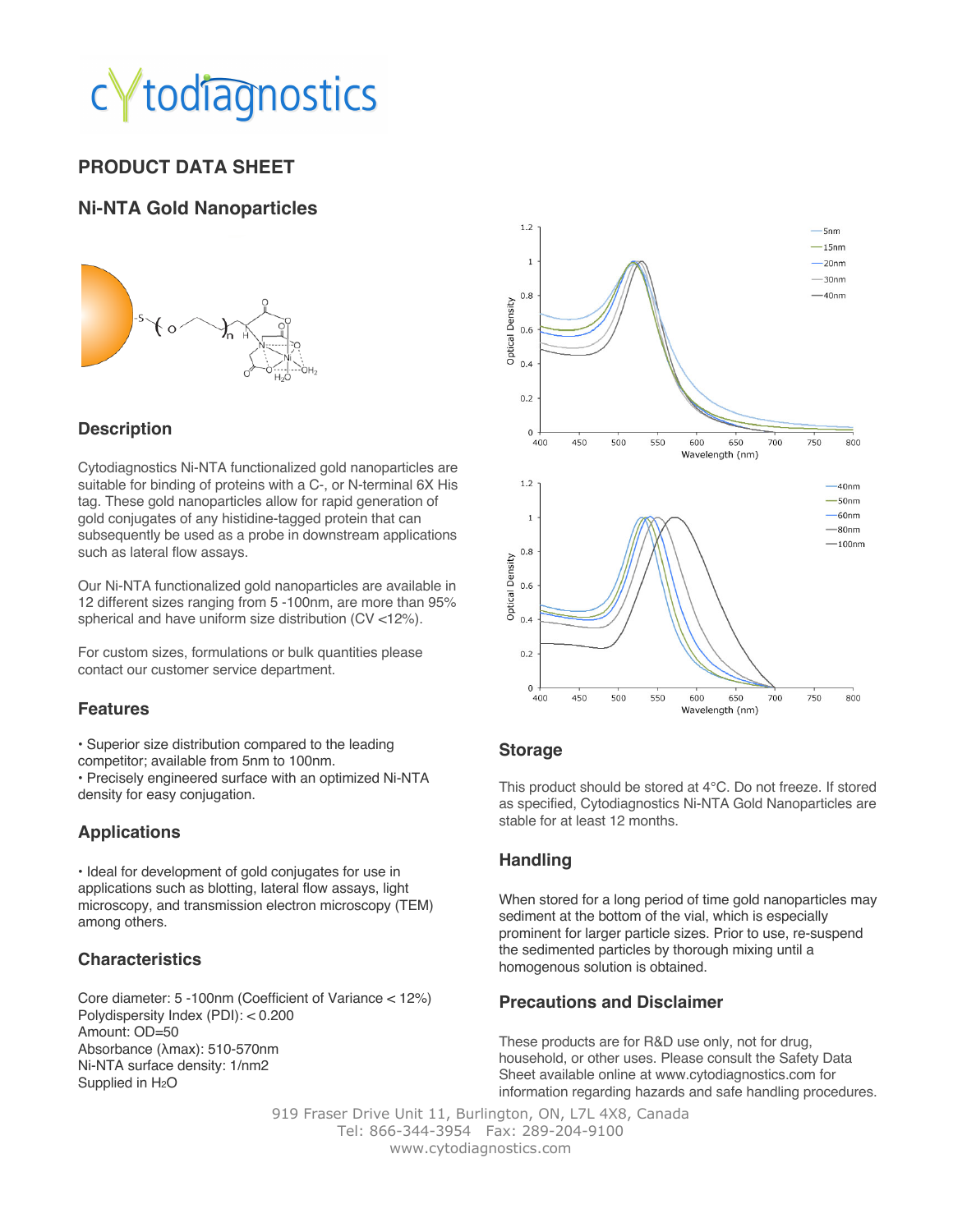## todiagnostics

### **PRODUCT DATA SHEET**

#### **Ni-NTA Gold Nanoparticles**



#### **Description**

Cytodiagnostics Ni-NTA functionalized gold nanoparticles are suitable for binding of proteins with a C-, or N-terminal 6X His tag. These gold nanoparticles allow for rapid generation of gold conjugates of any histidine-tagged protein that can subsequently be used as a probe in downstream applications such as lateral flow assays.

Our Ni-NTA functionalized gold nanoparticles are available in 12 different sizes ranging from 5 -100nm, are more than 95% spherical and have uniform size distribution (CV <12%).

For custom sizes, formulations or bulk quantities please contact our customer service department.

#### **Features**

• Superior size distribution compared to the leading competitor; available from 5nm to 100nm.

• Precisely engineered surface with an optimized Ni-NTA density for easy conjugation.

#### **Applications**

• Ideal for development of gold conjugates for use in applications such as blotting, lateral flow assays, light microscopy, and transmission electron microscopy (TEM) among others.

#### **Characteristics**

Core diameter: 5 -100nm (Coefficient of Variance < 12%) Polydispersity Index (PDI): < 0.200 Amount: OD=50 Absorbance (λmax): 510-570nm Ni-NTA surface density: 1/nm2 Supplied in  $H<sub>2</sub>O$ 



#### **Storage**

This product should be stored at 4°C. Do not freeze. If stored as specified, Cytodiagnostics Ni-NTA Gold Nanoparticles are stable for at least 12 months.

#### **Handling**

When stored for a long period of time gold nanoparticles may sediment at the bottom of the vial, which is especially prominent for larger particle sizes. Prior to use, re-suspend the sedimented particles by thorough mixing until a homogenous solution is obtained.

#### **Precautions and Disclaimer**

These products are for R&D use only, not for drug, household, or other uses. Please consult the Safety Data Sheet available online at www.cytodiagnostics.com for information regarding hazards and safe handling procedures.

919 Fraser Drive Unit 11, Burlington, ON, L7L 4X8, Canada Tel: 866-344-3954 Fax: 289-204-9100 www.cytodiagnostics.com